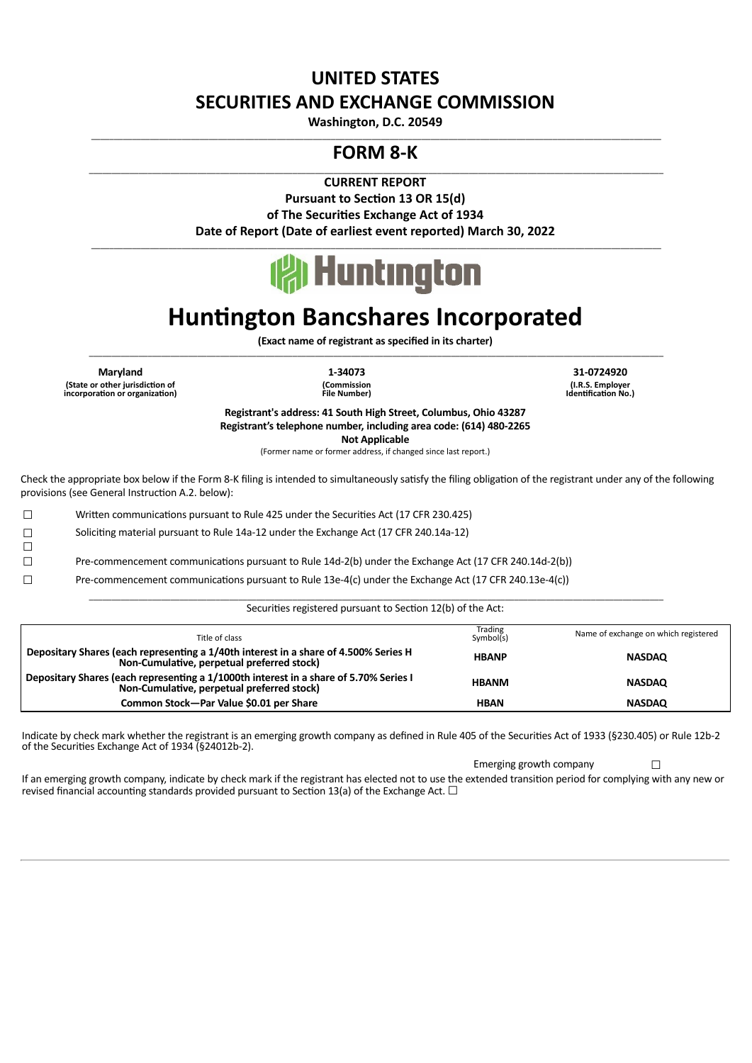## **UNITED STATES SECURITIES AND EXCHANGE COMMISSION**

**Washington, D.C. 20549** \_\_\_\_\_\_\_\_\_\_\_\_\_\_\_\_\_\_\_\_\_\_\_\_\_\_\_\_\_\_\_\_\_\_\_\_\_\_\_\_\_\_\_\_\_\_\_\_\_\_\_\_\_\_\_\_\_\_\_\_\_\_\_\_\_\_\_\_\_\_\_\_\_\_\_\_\_\_\_\_\_\_\_\_\_\_\_\_\_\_\_\_\_\_\_\_\_\_\_\_\_\_\_\_\_\_\_\_\_\_\_\_\_\_\_\_\_\_\_\_\_\_\_\_\_\_

### **FORM 8-K**

\_\_\_\_\_\_\_\_\_\_\_\_\_\_\_\_\_\_\_\_\_\_\_\_\_\_\_\_\_\_\_\_\_\_\_\_\_\_\_\_\_\_\_\_\_\_\_\_\_\_\_\_\_\_\_\_\_\_\_\_\_\_\_\_\_\_\_\_\_\_\_\_\_\_\_\_\_\_\_\_\_\_\_\_\_\_\_\_\_\_\_\_\_\_\_\_\_\_\_\_\_\_\_\_\_\_\_\_\_\_\_\_\_\_\_\_\_\_\_\_\_\_\_\_\_\_\_ **CURRENT REPORT**

> **Pursuant to Section 13 OR 15(d)** of The Securities Exchange Act of 1934 **Date of Report (Date of earliest event reported) March 30, 2022**



\_\_\_\_\_\_\_\_\_\_\_\_\_\_\_\_\_\_\_\_\_\_\_\_\_\_\_\_\_\_\_\_\_\_\_\_\_\_\_\_\_\_\_\_\_\_\_\_\_\_\_\_\_\_\_\_\_\_\_\_\_\_\_\_\_\_\_\_\_\_\_\_\_\_\_\_\_\_\_\_\_\_\_\_\_\_\_\_\_\_\_\_\_\_\_\_\_\_\_\_\_\_\_\_\_\_\_\_\_\_\_\_\_\_\_\_\_\_\_\_\_\_\_\_\_\_

# **Huntington Bancshares Incorporated**

**(Exact name of registrant as specified in its charter)** \_\_\_\_\_\_\_\_\_\_\_\_\_\_\_\_\_\_\_\_\_\_\_\_\_\_\_\_\_\_\_\_\_\_\_\_\_\_\_\_\_\_\_\_\_\_\_\_\_\_\_\_\_\_\_\_\_\_\_\_\_\_\_\_\_\_\_\_\_\_\_\_\_\_\_\_\_\_\_\_\_\_\_\_\_\_\_\_\_\_\_\_\_\_\_\_\_\_\_\_\_\_\_\_\_\_\_\_\_\_\_\_\_\_\_\_\_\_\_\_\_\_\_\_\_\_\_

**Maryland 1-34073 31-0724920 (State or other jurisdicon of incorporaon or organizaon)**

☐

**(Commission File Number)**

**(I.R.S. Employer Idenficaon No.)**

**Registrant's address: 41 South High Street, Columbus, Ohio 43287 Registrant's telephone number, including area code: (614) 480-2265**

**Not Applicable**

(Former name or former address, if changed since last report.)

Check the appropriate box below if the Form 8-K filing is intended to simultaneously satisfy the filing obligation of the registrant under any of the following provisions (see General Instruction A.2. below):

□ Written communications pursuant to Rule 425 under the Securities Act (17 CFR 230.425)

☐ Solicing material pursuant to Rule 14a-12 under the Exchange Act (17 CFR 240.14a-12)

□ Pre-commencement communications pursuant to Rule 14d-2(b) under the Exchange Act (17 CFR 240.14d-2(b))

 $□$  Pre-commencement communications pursuant to Rule 13e-4(c) under the Exchange Act (17 CFR 240.13e-4(c))

| Securities registered pursuant to Section 12(b) or the Act.                                                                         |                      |                                      |
|-------------------------------------------------------------------------------------------------------------------------------------|----------------------|--------------------------------------|
| Title of class                                                                                                                      | Trading<br>Symbol(s) | Name of exchange on which registered |
| Depositary Shares (each representing a 1/40th interest in a share of 4.500% Series H<br>Non-Cumulative, perpetual preferred stock)  | <b>HBANP</b>         | <b>NASDAQ</b>                        |
| Depositary Shares (each representing a 1/1000th interest in a share of 5.70% Series I<br>Non-Cumulative, perpetual preferred stock) | <b>HBANM</b>         | <b>NASDAQ</b>                        |
| Common Stock-Par Value \$0.01 per Share                                                                                             | <b>HBAN</b>          | <b>NASDAQ</b>                        |
|                                                                                                                                     |                      |                                      |

\_\_\_\_\_\_\_\_\_\_\_\_\_\_\_\_\_\_\_\_\_\_\_\_\_\_\_\_\_\_\_\_\_\_\_\_\_\_\_\_\_\_\_\_\_\_\_\_\_\_\_\_\_\_\_\_\_\_\_\_\_\_\_\_\_\_\_\_\_\_\_\_\_\_\_\_\_\_\_\_\_\_\_\_\_\_\_\_\_\_\_\_\_\_\_\_\_\_\_\_\_\_\_\_\_\_\_\_\_\_\_\_\_\_\_\_\_\_\_\_\_\_\_\_\_\_\_  $S_{\text{ocurition}}$  registered pursuant to Section 12(b) of the Act:

Indicate by check mark whether the registrant is an emerging growth company as defined in Rule 405 of the Securies Act of 1933 (§230.405) or Rule 12b-2 of the Securities Exchange Act of  $1934$  (§24012b-2).

Emerging growth company □ If an emerging growth company, indicate by check mark if the registrant has elected not to use the extended transition period for complying with any new or revised financial accounting standards provided pursuant to Section 13(a) of the Exchange Act.  $\Box$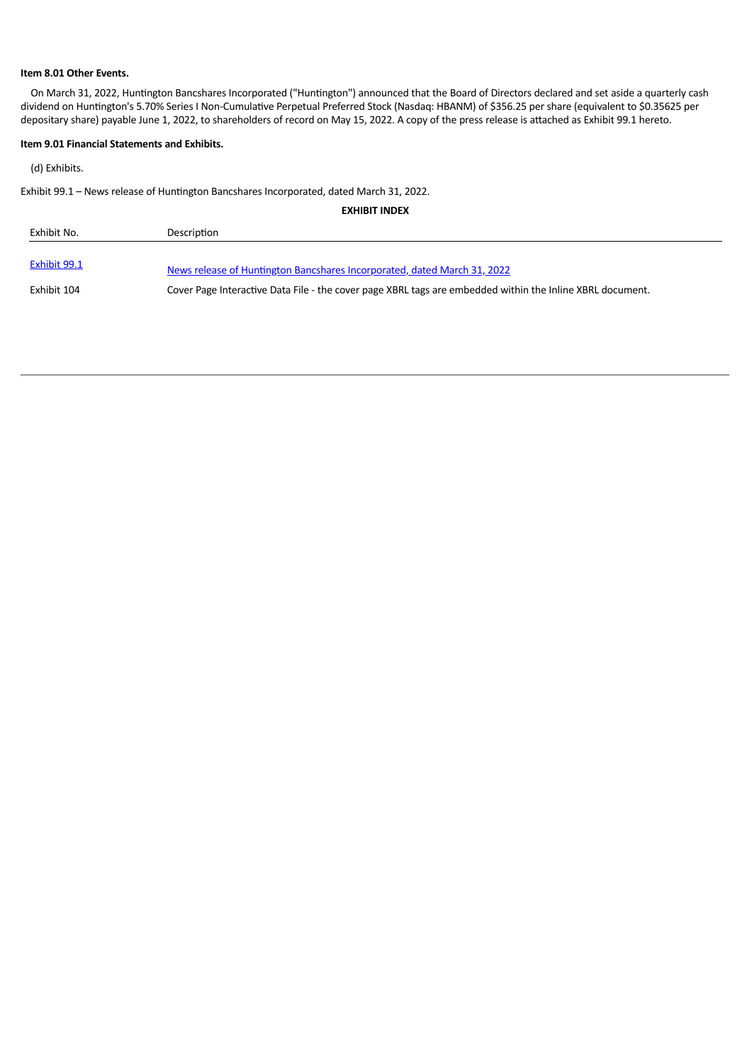#### **Item 8.01 Other Events.**

On March 31, 2022, Huntington Bancshares Incorporated ("Huntington") announced that the Board of Directors declared and set aside a quarterly cash dividend on Huntington's 5.70% Series I Non-Cumulative Perpetual Preferred Stock (Nasdaq: HBANM) of \$356.25 per share (equivalent to \$0.35625 per depositary share) payable June 1, 2022, to shareholders of record on May 15, 2022. A copy of the press release is attached as Exhibit 99.1 hereto.

#### **Item 9.01 Financial Statements and Exhibits.**

(d) Exhibits.

Exhibit 99.1 - News release of Huntington Bancshares Incorporated, dated March 31, 2022.

| <b>EXHIBIT INDEX</b> |                                                                                                           |  |
|----------------------|-----------------------------------------------------------------------------------------------------------|--|
| Exhibit No.          | Description                                                                                               |  |
| Exhibit 99.1         | News release of Huntington Bancshares Incorporated, dated March 31, 2022                                  |  |
| Exhibit 104          | Cover Page Interactive Data File - the cover page XBRL tags are embedded within the Inline XBRL document. |  |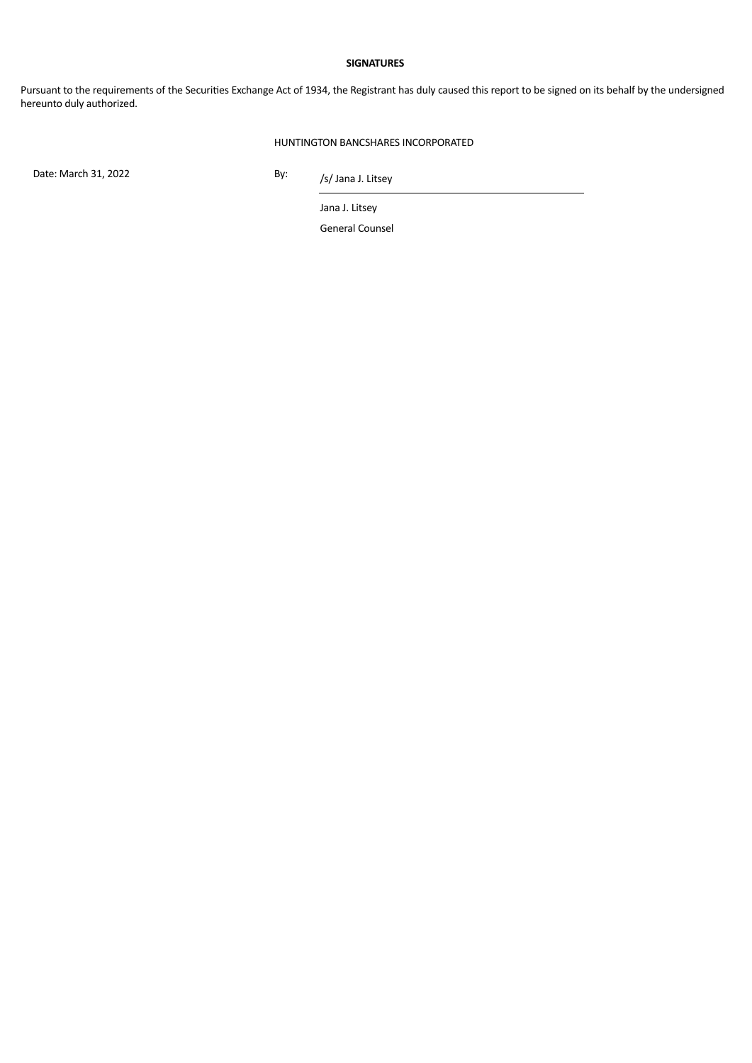#### **SIGNATURES**

Pursuant to the requirements of the Securities Exchange Act of 1934, the Registrant has duly caused this report to be signed on its behalf by the undersigned hereunto duly authorized.

#### HUNTINGTON BANCSHARES INCORPORATED

Date: March 31, 2022 By:

/s/ Jana J. Litsey

Jana J. Litsey

General Counsel